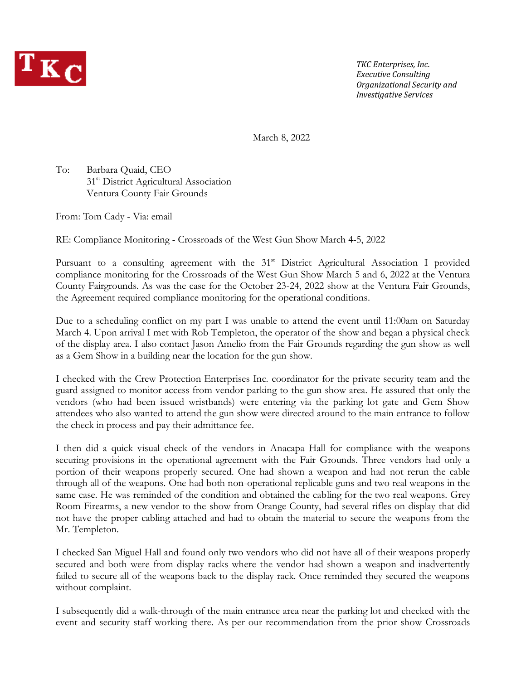

*TKC Enterprises, Inc. Executive Consulting Organizational Security and Investigative Services*

March 8, 2022

To: Barbara Quaid, CEO 31<sup>st</sup> District Agricultural Association Ventura County Fair Grounds

From: Tom Cady - Via: email

RE: Compliance Monitoring - Crossroads of the West Gun Show March 4-5, 2022

Pursuant to a consulting agreement with the 31<sup>st</sup> District Agricultural Association I provided compliance monitoring for the Crossroads of the West Gun Show March 5 and 6, 2022 at the Ventura County Fairgrounds. As was the case for the October 23-24, 2022 show at the Ventura Fair Grounds, the Agreement required compliance monitoring for the operational conditions.

Due to a scheduling conflict on my part I was unable to attend the event until 11:00am on Saturday March 4. Upon arrival I met with Rob Templeton, the operator of the show and began a physical check of the display area. I also contact Jason Amelio from the Fair Grounds regarding the gun show as well as a Gem Show in a building near the location for the gun show.

I checked with the Crew Protection Enterprises Inc. coordinator for the private security team and the guard assigned to monitor access from vendor parking to the gun show area. He assured that only the vendors (who had been issued wristbands) were entering via the parking lot gate and Gem Show attendees who also wanted to attend the gun show were directed around to the main entrance to follow the check in process and pay their admittance fee.

I then did a quick visual check of the vendors in Anacapa Hall for compliance with the weapons securing provisions in the operational agreement with the Fair Grounds. Three vendors had only a portion of their weapons properly secured. One had shown a weapon and had not rerun the cable through all of the weapons. One had both non-operational replicable guns and two real weapons in the same case. He was reminded of the condition and obtained the cabling for the two real weapons. Grey Room Firearms, a new vendor to the show from Orange County, had several rifles on display that did not have the proper cabling attached and had to obtain the material to secure the weapons from the Mr. Templeton.

I checked San Miguel Hall and found only two vendors who did not have all of their weapons properly secured and both were from display racks where the vendor had shown a weapon and inadvertently failed to secure all of the weapons back to the display rack. Once reminded they secured the weapons without complaint.

I subsequently did a walk-through of the main entrance area near the parking lot and checked with the event and security staff working there. As per our recommendation from the prior show Crossroads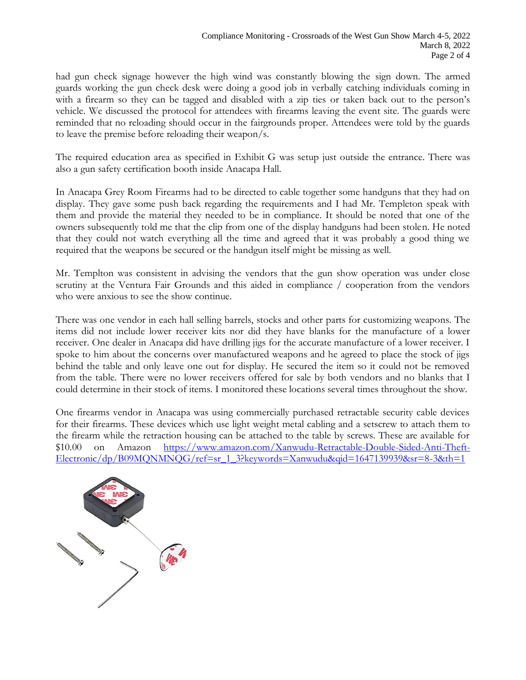had gun check signage however the high wind was constantly blowing the sign down. The armed guards working the gun check desk were doing a good job in verbally catching individuals coming in with a firearm so they can be tagged and disabled with a zip ties or taken back out to the person's vehicle. We discussed the protocol for attendees with firearms leaving the event site. The guards were reminded that no reloading should occur in the fairgrounds proper. Attendees were told by the guards to leave the premise before reloading their weapon/s.

The required education area as specified in Exhibit G was setup just outside the entrance. There was also a gun safety certification booth inside Anacapa Hall.

In Anacapa Grey Room Firearms had to be directed to cable together some handguns that they had on display. They gave some push back regarding the requirements and I had Mr. Templeton speak with them and provide the material they needed to be in compliance. It should be noted that one of the owners subsequently told me that the clip from one of the display handguns had been stolen. He noted that they could not watch everything all the time and agreed that it was probably a good thing we required that the weapons be secured or the handgun itself might be missing as well.

Mr. Templton was consistent in advising the vendors that the gun show operation was under close scrutiny at the Ventura Fair Grounds and this aided in compliance / cooperation from the vendors who were anxious to see the show continue.

There was one vendor in each hall selling barrels, stocks and other parts for customizing weapons. The items did not include lower receiver kits nor did they have blanks for the manufacture of a lower receiver. One dealer in Anacapa did have drilling jigs for the accurate manufacture of a lower receiver. I spoke to him about the concerns over manufactured weapons and he agreed to place the stock of jigs behind the table and only leave one out for display. He secured the item so it could not be removed from the table. There were no lower receivers offered for sale by both vendors and no blanks that I could determine in their stock of items. I monitored these locations several times throughout the show.

One firearms vendor in Anacapa was using commercially purchased retractable security cable devices for their firearms. These devices which use light weight metal cabling and a setscrew to attach them to the firearm while the retraction housing can be attached to the table by screws. These are available for \$10.00 on Amazon [https://www.amazon.com/Xanwudu-Retractable-Double-Sided-Anti-Theft-](https://www.amazon.com/Xanwudu-Retractable-Double-Sided-Anti-Theft-Electronic/dp/B09MQNMNQG/ref=sr_1_3?keywords=Xanwudu&qid=1647139939&sr=8-3&th=1)[Electronic/dp/B09MQNMNQG/ref=sr\\_1\\_3?keywords=Xanwudu&qid=1647139939&sr=8-3&th=1](https://www.amazon.com/Xanwudu-Retractable-Double-Sided-Anti-Theft-Electronic/dp/B09MQNMNQG/ref=sr_1_3?keywords=Xanwudu&qid=1647139939&sr=8-3&th=1)

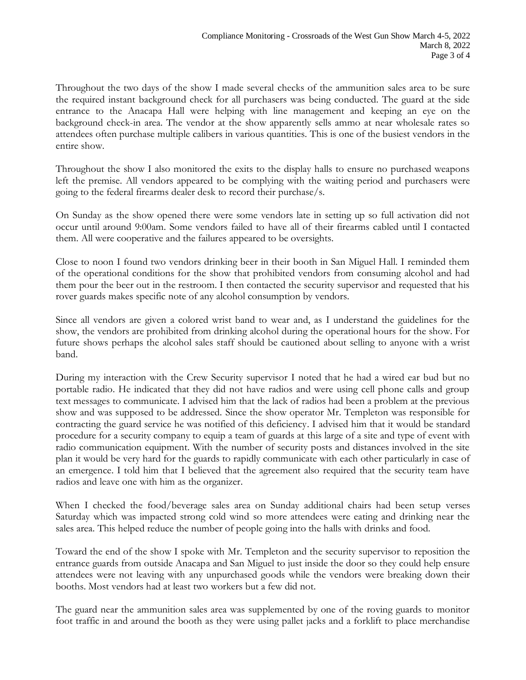Throughout the two days of the show I made several checks of the ammunition sales area to be sure the required instant background check for all purchasers was being conducted. The guard at the side entrance to the Anacapa Hall were helping with line management and keeping an eye on the background check-in area. The vendor at the show apparently sells ammo at near wholesale rates so attendees often purchase multiple calibers in various quantities. This is one of the busiest vendors in the entire show.

Throughout the show I also monitored the exits to the display halls to ensure no purchased weapons left the premise. All vendors appeared to be complying with the waiting period and purchasers were going to the federal firearms dealer desk to record their purchase/s.

On Sunday as the show opened there were some vendors late in setting up so full activation did not occur until around 9:00am. Some vendors failed to have all of their firearms cabled until I contacted them. All were cooperative and the failures appeared to be oversights.

Close to noon I found two vendors drinking beer in their booth in San Miguel Hall. I reminded them of the operational conditions for the show that prohibited vendors from consuming alcohol and had them pour the beer out in the restroom. I then contacted the security supervisor and requested that his rover guards makes specific note of any alcohol consumption by vendors.

Since all vendors are given a colored wrist band to wear and, as I understand the guidelines for the show, the vendors are prohibited from drinking alcohol during the operational hours for the show. For future shows perhaps the alcohol sales staff should be cautioned about selling to anyone with a wrist band.

During my interaction with the Crew Security supervisor I noted that he had a wired ear bud but no portable radio. He indicated that they did not have radios and were using cell phone calls and group text messages to communicate. I advised him that the lack of radios had been a problem at the previous show and was supposed to be addressed. Since the show operator Mr. Templeton was responsible for contracting the guard service he was notified of this deficiency. I advised him that it would be standard procedure for a security company to equip a team of guards at this large of a site and type of event with radio communication equipment. With the number of security posts and distances involved in the site plan it would be very hard for the guards to rapidly communicate with each other particularly in case of an emergence. I told him that I believed that the agreement also required that the security team have radios and leave one with him as the organizer.

When I checked the food/beverage sales area on Sunday additional chairs had been setup verses Saturday which was impacted strong cold wind so more attendees were eating and drinking near the sales area. This helped reduce the number of people going into the halls with drinks and food.

Toward the end of the show I spoke with Mr. Templeton and the security supervisor to reposition the entrance guards from outside Anacapa and San Miguel to just inside the door so they could help ensure attendees were not leaving with any unpurchased goods while the vendors were breaking down their booths. Most vendors had at least two workers but a few did not.

The guard near the ammunition sales area was supplemented by one of the roving guards to monitor foot traffic in and around the booth as they were using pallet jacks and a forklift to place merchandise